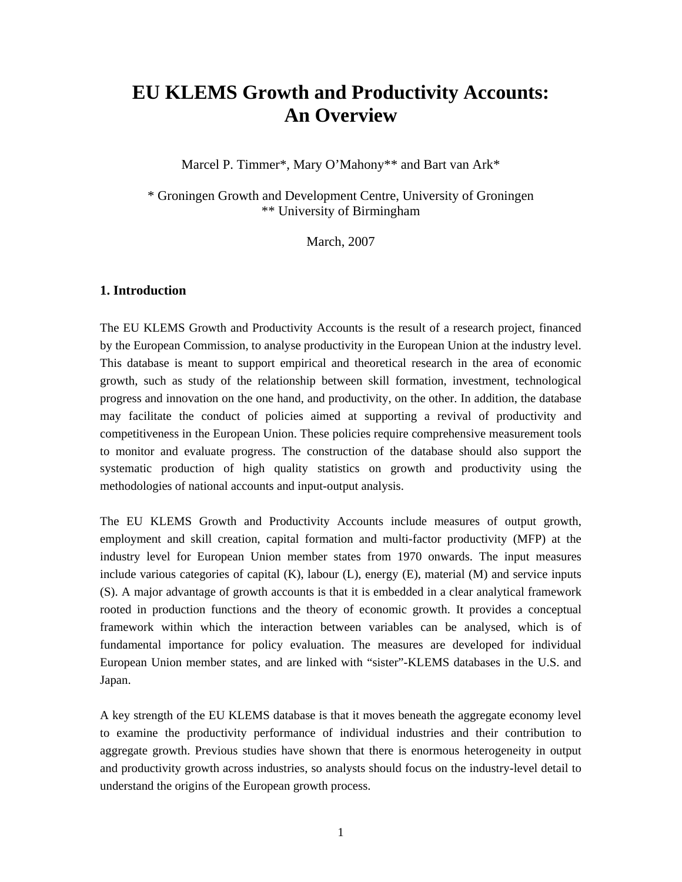# **EU KLEMS Growth and Productivity Accounts: An Overview**

Marcel P. Timmer\*, Mary O'Mahony\*\* and Bart van Ark\*

\* Groningen Growth and Development Centre, University of Groningen \*\* University of Birmingham

March, 2007

# **1. Introduction**

The EU KLEMS Growth and Productivity Accounts is the result of a research project, financed by the European Commission, to analyse productivity in the European Union at the industry level. This database is meant to support empirical and theoretical research in the area of economic growth, such as study of the relationship between skill formation, investment, technological progress and innovation on the one hand, and productivity, on the other. In addition, the database may facilitate the conduct of policies aimed at supporting a revival of productivity and competitiveness in the European Union. These policies require comprehensive measurement tools to monitor and evaluate progress. The construction of the database should also support the systematic production of high quality statistics on growth and productivity using the methodologies of national accounts and input-output analysis.

The EU KLEMS Growth and Productivity Accounts include measures of output growth, employment and skill creation, capital formation and multi-factor productivity (MFP) at the industry level for European Union member states from 1970 onwards. The input measures include various categories of capital (K), labour (L), energy (E), material (M) and service inputs (S). A major advantage of growth accounts is that it is embedded in a clear analytical framework rooted in production functions and the theory of economic growth. It provides a conceptual framework within which the interaction between variables can be analysed, which is of fundamental importance for policy evaluation. The measures are developed for individual European Union member states, and are linked with "sister"-KLEMS databases in the U.S. and Japan.

A key strength of the EU KLEMS database is that it moves beneath the aggregate economy level to examine the productivity performance of individual industries and their contribution to aggregate growth. Previous studies have shown that there is enormous heterogeneity in output and productivity growth across industries, so analysts should focus on the industry-level detail to understand the origins of the European growth process.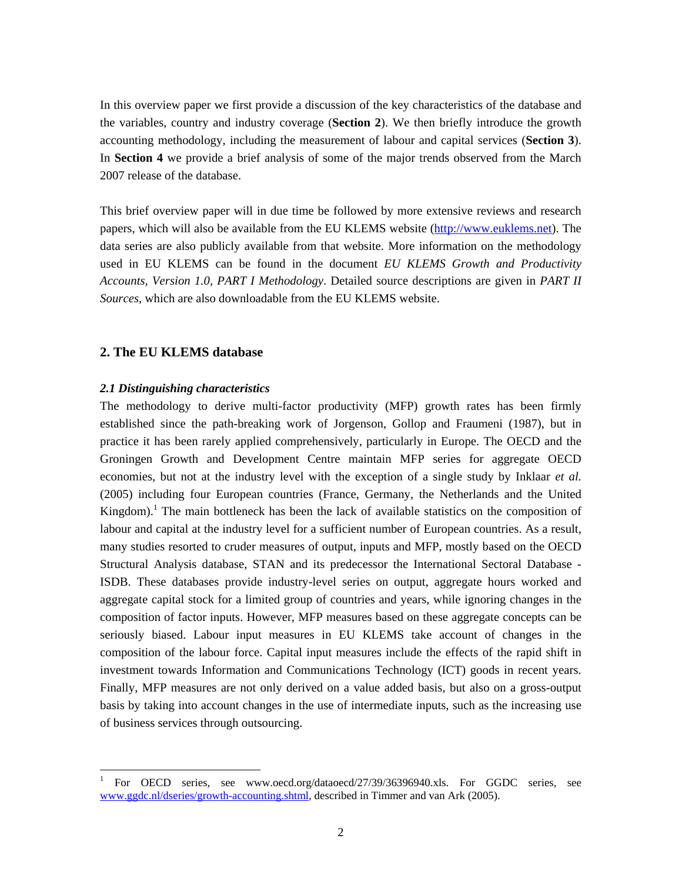In this overview paper we first provide a discussion of the key characteristics of the database and the variables, country and industry coverage (**Section 2**). We then briefly introduce the growth accounting methodology, including the measurement of labour and capital services (**Section 3**). In **Section 4** we provide a brief analysis of some of the major trends observed from the March 2007 release of the database.

This brief overview paper will in due time be followed by more extensive reviews and research papers, which will also be available from the EU KLEMS website [\(http://www.euklems.net\)](http://www.euklems.net/). The data series are also publicly available from that website. More information on the methodology used in EU KLEMS can be found in the document *EU KLEMS Growth and Productivity Accounts, Version 1.0, PART I Methodology*. Detailed source descriptions are given in *PART II Sources*, which are also downloadable from the EU KLEMS website.

# **2. The EU KLEMS database**

#### *2.1 Distinguishing characteristics*

 $\overline{a}$ 

The methodology to derive multi-factor productivity (MFP) growth rates has been firmly established since the path-breaking work of Jorgenson, Gollop and Fraumeni (1987), but in practice it has been rarely applied comprehensively, particularly in Europe. The OECD and the Groningen Growth and Development Centre maintain MFP series for aggregate OECD economies, but not at the industry level with the exception of a single study by Inklaar *et al.* (2005) including four European countries (France, Germany, the Netherlands and the United Kingdom).<sup>[1](#page-1-0)</sup> The main bottleneck has been the lack of available statistics on the composition of labour and capital at the industry level for a sufficient number of European countries. As a result, many studies resorted to cruder measures of output, inputs and MFP, mostly based on the OECD Structural Analysis database, STAN and its predecessor the International Sectoral Database - ISDB. These databases provide industry-level series on output, aggregate hours worked and aggregate capital stock for a limited group of countries and years, while ignoring changes in the composition of factor inputs. However, MFP measures based on these aggregate concepts can be seriously biased. Labour input measures in EU KLEMS take account of changes in the composition of the labour force. Capital input measures include the effects of the rapid shift in investment towards Information and Communications Technology (ICT) goods in recent years. Finally, MFP measures are not only derived on a value added basis, but also on a gross-output basis by taking into account changes in the use of intermediate inputs, such as the increasing use of business services through outsourcing.

<span id="page-1-0"></span><sup>1</sup> For OECD series, see www.oecd.org/dataoecd/27/39/36396940.xls. For GGDC series, see [www.ggdc.nl/dseries/growth-accounting.shtml](http://www.ggdc.nl/dseries/growth-accounting.shtml), described in Timmer and van Ark (2005).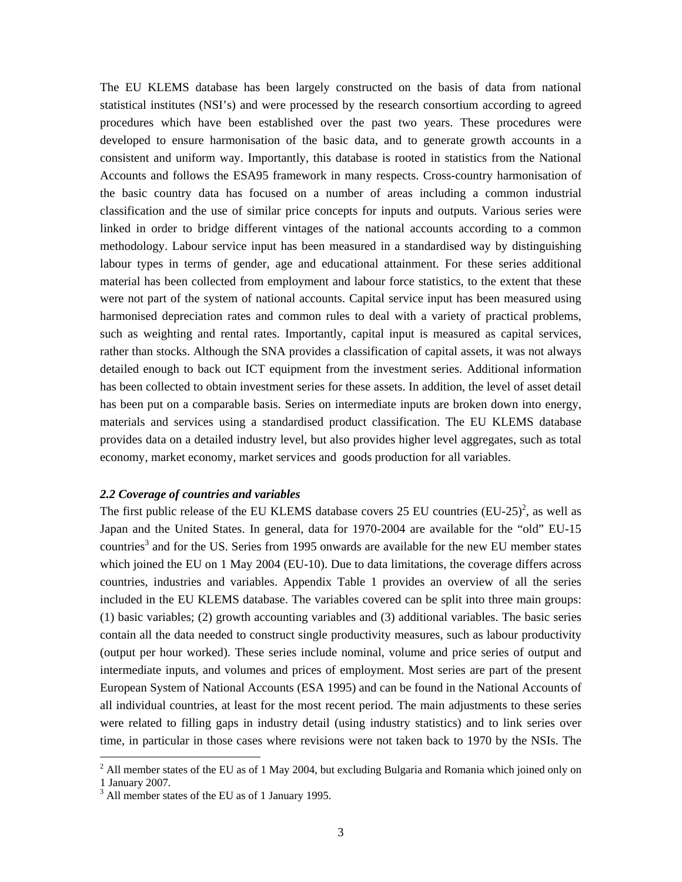The EU KLEMS database has been largely constructed on the basis of data from national statistical institutes (NSI's) and were processed by the research consortium according to agreed procedures which have been established over the past two years. These procedures were developed to ensure harmonisation of the basic data, and to generate growth accounts in a consistent and uniform way. Importantly, this database is rooted in statistics from the National Accounts and follows the ESA95 framework in many respects. Cross-country harmonisation of the basic country data has focused on a number of areas including a common industrial classification and the use of similar price concepts for inputs and outputs. Various series were linked in order to bridge different vintages of the national accounts according to a common methodology. Labour service input has been measured in a standardised way by distinguishing labour types in terms of gender, age and educational attainment. For these series additional material has been collected from employment and labour force statistics, to the extent that these were not part of the system of national accounts. Capital service input has been measured using harmonised depreciation rates and common rules to deal with a variety of practical problems, such as weighting and rental rates. Importantly, capital input is measured as capital services, rather than stocks. Although the SNA provides a classification of capital assets, it was not always detailed enough to back out ICT equipment from the investment series. Additional information has been collected to obtain investment series for these assets. In addition, the level of asset detail has been put on a comparable basis. Series on intermediate inputs are broken down into energy, materials and services using a standardised product classification. The EU KLEMS database provides data on a detailed industry level, but also provides higher level aggregates, such as total economy, market economy, market services and goods production for all variables.

# *2.2 Coverage of countries and variables*

The first public release of the EU KLEMS database covers [2](#page-2-0)5 EU countries  $(EU-25)^2$ , as well as Japan and the United States. In general, data for 1970-2004 are available for the "old" EU-15 countries<sup>3</sup>and for the US. Series from 1995 onwards are available for the new EU member states which joined the EU on 1 May 2004 (EU-10). Due to data limitations, the coverage differs across countries, industries and variables. Appendix Table 1 provides an overview of all the series included in the EU KLEMS database. The variables covered can be split into three main groups: (1) basic variables; (2) growth accounting variables and (3) additional variables. The basic series contain all the data needed to construct single productivity measures, such as labour productivity (output per hour worked). These series include nominal, volume and price series of output and intermediate inputs, and volumes and prices of employment. Most series are part of the present European System of National Accounts (ESA 1995) and can be found in the National Accounts of all individual countries, at least for the most recent period. The main adjustments to these series were related to filling gaps in industry detail (using industry statistics) and to link series over time, in particular in those cases where revisions were not taken back to 1970 by the NSIs. The

 $\overline{a}$ 

<span id="page-2-0"></span> $2$  All member states of the EU as of 1 May 2004, but excluding Bulgaria and Romania which joined only on 1 January 2007.

<span id="page-2-1"></span> $3$  All member states of the EU as of 1 January 1995.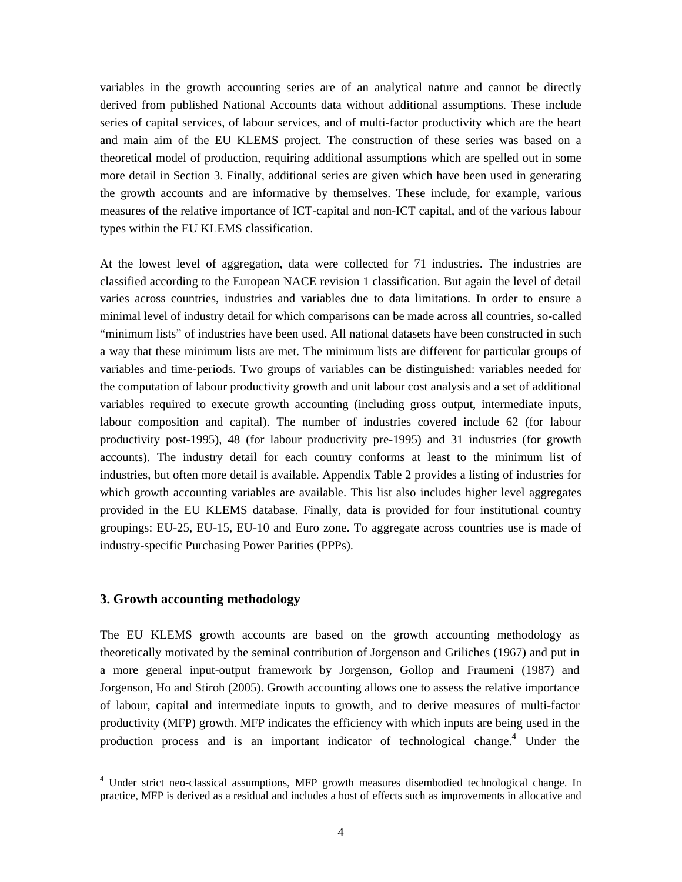variables in the growth accounting series are of an analytical nature and cannot be directly derived from published National Accounts data without additional assumptions. These include series of capital services, of labour services, and of multi-factor productivity which are the heart and main aim of the EU KLEMS project. The construction of these series was based on a theoretical model of production, requiring additional assumptions which are spelled out in some more detail in Section 3. Finally, additional series are given which have been used in generating the growth accounts and are informative by themselves. These include, for example, various measures of the relative importance of ICT-capital and non-ICT capital, and of the various labour types within the EU KLEMS classification.

At the lowest level of aggregation, data were collected for 71 industries. The industries are classified according to the European NACE revision 1 classification. But again the level of detail varies across countries, industries and variables due to data limitations. In order to ensure a minimal level of industry detail for which comparisons can be made across all countries, so-called "minimum lists" of industries have been used. All national datasets have been constructed in such a way that these minimum lists are met. The minimum lists are different for particular groups of variables and time-periods. Two groups of variables can be distinguished: variables needed for the computation of labour productivity growth and unit labour cost analysis and a set of additional variables required to execute growth accounting (including gross output, intermediate inputs, labour composition and capital). The number of industries covered include 62 (for labour productivity post-1995), 48 (for labour productivity pre-1995) and 31 industries (for growth accounts). The industry detail for each country conforms at least to the minimum list of industries, but often more detail is available. Appendix Table 2 provides a listing of industries for which growth accounting variables are available. This list also includes higher level aggregates provided in the EU KLEMS database. Finally, data is provided for four institutional country groupings: EU-25, EU-15, EU-10 and Euro zone. To aggregate across countries use is made of industry-specific Purchasing Power Parities (PPPs).

# **3. Growth accounting methodology**

 $\overline{a}$ 

The EU KLEMS growth accounts are based on the growth accounting methodology as theoretically motivated by the seminal contribution of Jorgenson and Griliches (1967) and put in a more general input-output framework by Jorgenson, Gollop and Fraumeni (1987) and Jorgenson, Ho and Stiroh (2005). Growth accounting allows one to assess the relative importance of labour, capital and intermediate inputs to growth, and to derive measures of multi-factor productivity (MFP) growth. MFP indicates the efficiency with which inputs are being used in the production process and is an important indicator of technological change.<sup>[4](#page-3-0)</sup> Under the

<span id="page-3-0"></span><sup>&</sup>lt;sup>4</sup> Under strict neo-classical assumptions, MFP growth measures disembodied technological change. In practice, MFP is derived as a residual and includes a host of effects such as improvements in allocative and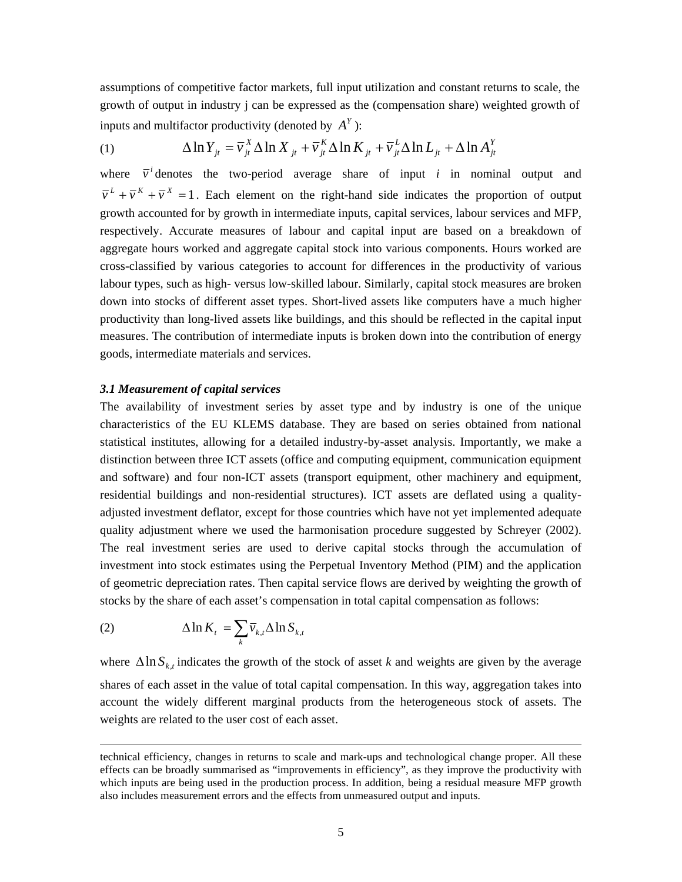assumptions of competitive factor markets, full input utilization and constant returns to scale, the growth of output in industry j can be expressed as the (compensation share) weighted growth of inputs and multifactor productivity (denoted by  $A<sup>Y</sup>$ ):

(1) 
$$
\Delta \ln Y_{jt} = \overline{v}_{jt}^X \Delta \ln X_{jt} + \overline{v}_{jt}^K \Delta \ln K_{jt} + \overline{v}_{jt}^L \Delta \ln L_{jt} + \Delta \ln A_{jt}^Y
$$

where  $\overline{v}^i$  denotes the two-period average share of input *i* in nominal output and  $\overline{v}^L + \overline{v}^K + \overline{v}^K = 1$ . Each element on the right-hand side indicates the proportion of output growth accounted for by growth in intermediate inputs, capital services, labour services and MFP, respectively. Accurate measures of labour and capital input are based on a breakdown of aggregate hours worked and aggregate capital stock into various components. Hours worked are cross-classified by various categories to account for differences in the productivity of various labour types, such as high- versus low-skilled labour. Similarly, capital stock measures are broken down into stocks of different asset types. Short-lived assets like computers have a much higher productivity than long-lived assets like buildings, and this should be reflected in the capital input measures. The contribution of intermediate inputs is broken down into the contribution of energy goods, intermediate materials and services.

#### *3.1 Measurement of capital services*

The availability of investment series by asset type and by industry is one of the unique characteristics of the EU KLEMS database. They are based on series obtained from national statistical institutes, allowing for a detailed industry-by-asset analysis. Importantly, we make a distinction between three ICT assets (office and computing equipment, communication equipment and software) and four non-ICT assets (transport equipment, other machinery and equipment, residential buildings and non-residential structures). ICT assets are deflated using a qualityadjusted investment deflator, except for those countries which have not yet implemented adequate quality adjustment where we used the harmonisation procedure suggested by Schreyer (2002). The real investment series are used to derive capital stocks through the accumulation of investment into stock estimates using the Perpetual Inventory Method (PIM) and the application of geometric depreciation rates. Then capital service flows are derived by weighting the growth of stocks by the share of each asset's compensation in total capital compensation as follows:

(2) 
$$
\Delta \ln K_t = \sum_k \overline{v}_{k,t} \Delta \ln S_{k,t}
$$

where  $\Delta \ln S_{k,t}$  indicates the growth of the stock of asset *k* and weights are given by the average shares of each asset in the value of total capital compensation. In this way, aggregation takes into account the widely different marginal products from the heterogeneous stock of assets. The weights are related to the user cost of each asset.

technical efficiency, changes in returns to scale and mark-ups and technological change proper. All these effects can be broadly summarised as "improvements in efficiency", as they improve the productivity with which inputs are being used in the production process. In addition, being a residual measure MFP growth also includes measurement errors and the effects from unmeasured output and inputs.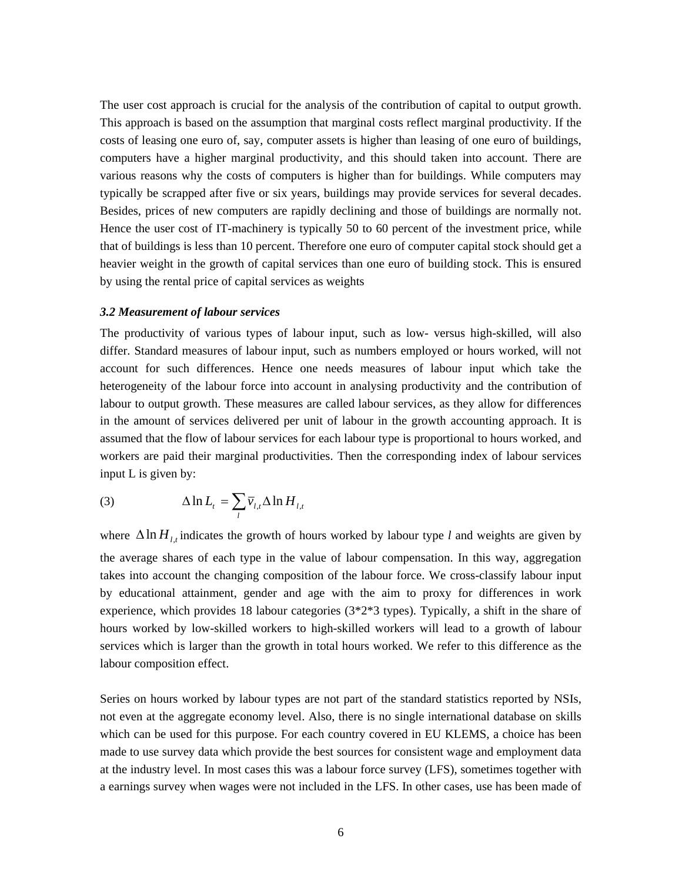The user cost approach is crucial for the analysis of the contribution of capital to output growth. This approach is based on the assumption that marginal costs reflect marginal productivity. If the costs of leasing one euro of, say, computer assets is higher than leasing of one euro of buildings, computers have a higher marginal productivity, and this should taken into account. There are various reasons why the costs of computers is higher than for buildings. While computers may typically be scrapped after five or six years, buildings may provide services for several decades. Besides, prices of new computers are rapidly declining and those of buildings are normally not. Hence the user cost of IT-machinery is typically 50 to 60 percent of the investment price, while that of buildings is less than 10 percent. Therefore one euro of computer capital stock should get a heavier weight in the growth of capital services than one euro of building stock. This is ensured by using the rental price of capital services as weights

#### *3.2 Measurement of labour services*

The productivity of various types of labour input, such as low- versus high-skilled, will also differ. Standard measures of labour input, such as numbers employed or hours worked, will not account for such differences. Hence one needs measures of labour input which take the heterogeneity of the labour force into account in analysing productivity and the contribution of labour to output growth. These measures are called labour services, as they allow for differences in the amount of services delivered per unit of labour in the growth accounting approach. It is assumed that the flow of labour services for each labour type is proportional to hours worked, and workers are paid their marginal productivities. Then the corresponding index of labour services input L is given by:

(3) 
$$
\Delta \ln L_t = \sum_l \overline{v}_{l,t} \Delta \ln H_{l,t}
$$

where  $\Delta \ln H_{l,t}$  indicates the growth of hours worked by labour type *l* and weights are given by the average shares of each type in the value of labour compensation. In this way, aggregation takes into account the changing composition of the labour force. We cross-classify labour input by educational attainment, gender and age with the aim to proxy for differences in work experience, which provides 18 labour categories (3\*2\*3 types). Typically, a shift in the share of hours worked by low-skilled workers to high-skilled workers will lead to a growth of labour services which is larger than the growth in total hours worked. We refer to this difference as the labour composition effect.

Series on hours worked by labour types are not part of the standard statistics reported by NSIs, not even at the aggregate economy level. Also, there is no single international database on skills which can be used for this purpose. For each country covered in EU KLEMS, a choice has been made to use survey data which provide the best sources for consistent wage and employment data at the industry level. In most cases this was a labour force survey (LFS), sometimes together with a earnings survey when wages were not included in the LFS. In other cases, use has been made of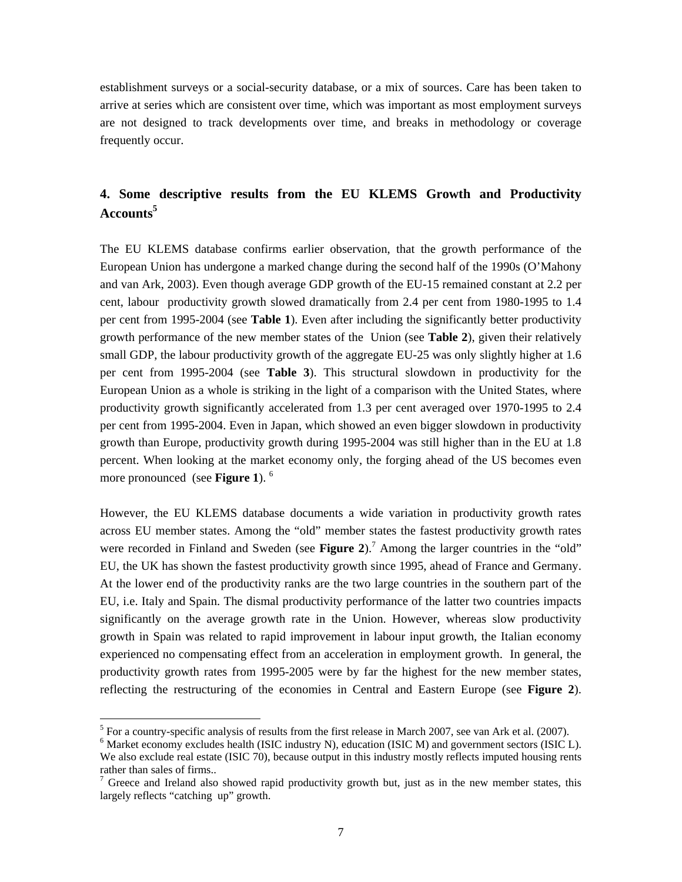establishment surveys or a social-security database, or a mix of sources. Care has been taken to arrive at series which are consistent over time, which was important as most employment surveys are not designed to track developments over time, and breaks in methodology or coverage frequently occur.

# **4. Some descriptive results from the EU KLEMS Growth and Productivity Accounts[5](#page-6-0)**

The EU KLEMS database confirms earlier observation, that the growth performance of the European Union has undergone a marked change during the second half of the 1990s (O'Mahony and van Ark, 2003). Even though average GDP growth of the EU-15 remained constant at 2.2 per cent, labour productivity growth slowed dramatically from 2.4 per cent from 1980-1995 to 1.4 per cent from 1995-2004 (see **Table 1**). Even after including the significantly better productivity growth performance of the new member states of the Union (see **Table 2**), given their relatively small GDP, the labour productivity growth of the aggregate EU-25 was only slightly higher at 1.6 per cent from 1995-2004 (see **Table 3**). This structural slowdown in productivity for the European Union as a whole is striking in the light of a comparison with the United States, where productivity growth significantly accelerated from 1.3 per cent averaged over 1970-1995 to 2.4 per cent from 1995-2004. Even in Japan, which showed an even bigger slowdown in productivity growth than Europe, productivity growth during 1995-2004 was still higher than in the EU at 1.8 percent. When looking at the market economy only, the forging ahead of the US becomes even more pronounced (see **Figure 1**). <sup>6</sup> 

However, the EU KLEMS database documents a wide variation in productivity growth rates across EU member states. Among the "old" member states the fastest productivity growth rates were recorded in Finland and Sweden (see Figure 2).<sup>[7](#page-6-2)</sup> Among the larger countries in the "old" EU, the UK has shown the fastest productivity growth since 1995, ahead of France and Germany. At the lower end of the productivity ranks are the two large countries in the southern part of the EU, i.e. Italy and Spain. The dismal productivity performance of the latter two countries impacts significantly on the average growth rate in the Union. However, whereas slow productivity growth in Spain was related to rapid improvement in labour input growth, the Italian economy experienced no compensating effect from an acceleration in employment growth. In general, the productivity growth rates from 1995-2005 were by far the highest for the new member states, reflecting the restructuring of the economies in Central and Eastern Europe (see **Figure 2**).

 $\overline{a}$ 

<span id="page-6-0"></span><sup>&</sup>lt;sup>5</sup> For a country-specific analysis of results from the first release in March 2007, see van Ark et al. (2007).

<span id="page-6-1"></span> $6$  Market economy excludes health (ISIC industry N), education (ISIC M) and government sectors (ISIC L). We also exclude real estate (ISIC 70), because output in this industry mostly reflects imputed housing rents rather than sales of firms..

<span id="page-6-2"></span> $\frac{7}{1}$  Greece and Ireland also showed rapid productivity growth but, just as in the new member states, this largely reflects "catching up" growth.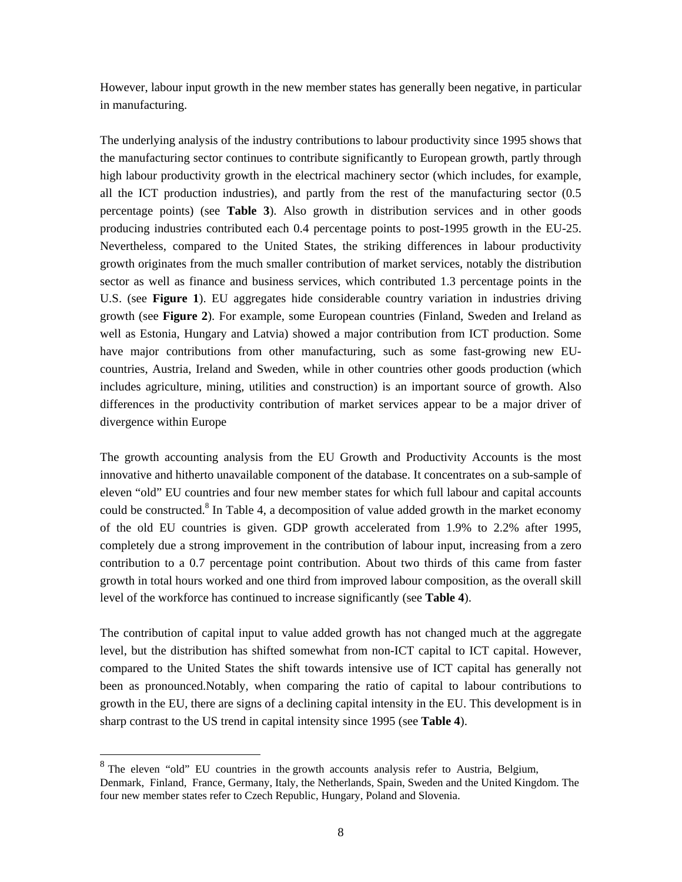However, labour input growth in the new member states has generally been negative, in particular in manufacturing.

The underlying analysis of the industry contributions to labour productivity since 1995 shows that the manufacturing sector continues to contribute significantly to European growth, partly through high labour productivity growth in the electrical machinery sector (which includes, for example, all the ICT production industries), and partly from the rest of the manufacturing sector (0.5 percentage points) (see **Table 3**). Also growth in distribution services and in other goods producing industries contributed each 0.4 percentage points to post-1995 growth in the EU-25. Nevertheless, compared to the United States, the striking differences in labour productivity growth originates from the much smaller contribution of market services, notably the distribution sector as well as finance and business services, which contributed 1.3 percentage points in the U.S. (see **Figure 1**). EU aggregates hide considerable country variation in industries driving growth (see **Figure 2**). For example, some European countries (Finland, Sweden and Ireland as well as Estonia, Hungary and Latvia) showed a major contribution from ICT production. Some have major contributions from other manufacturing, such as some fast-growing new EUcountries, Austria, Ireland and Sweden, while in other countries other goods production (which includes agriculture, mining, utilities and construction) is an important source of growth. Also differences in the productivity contribution of market services appear to be a major driver of divergence within Europe

The growth accounting analysis from the EU Growth and Productivity Accounts is the most innovative and hitherto unavailable component of the database. It concentrates on a sub-sample of eleven "old" EU countries and four new member states for which full labour and capital accounts could be constructed.<sup>[8](#page-7-0)</sup> In Table 4, a decomposition of value added growth in the market economy of the old EU countries is given. GDP growth accelerated from 1.9% to 2.2% after 1995, completely due a strong improvement in the contribution of labour input, increasing from a zero contribution to a 0.7 percentage point contribution. About two thirds of this came from faster growth in total hours worked and one third from improved labour composition, as the overall skill level of the workforce has continued to increase significantly (see **Table 4**).

The contribution of capital input to value added growth has not changed much at the aggregate level, but the distribution has shifted somewhat from non-ICT capital to ICT capital. However, compared to the United States the shift towards intensive use of ICT capital has generally not been as pronounced.Notably, when comparing the ratio of capital to labour contributions to growth in the EU, there are signs of a declining capital intensity in the EU. This development is in sharp contrast to the US trend in capital intensity since 1995 (see **Table 4**).

 $\overline{a}$ 

<span id="page-7-0"></span> $8$  The eleven "old" EU countries in the growth accounts analysis refer to Austria, Belgium, Denmark, Finland, France, Germany, Italy, the Netherlands, Spain, Sweden and the United Kingdom. The four new member states refer to Czech Republic, Hungary, Poland and Slovenia.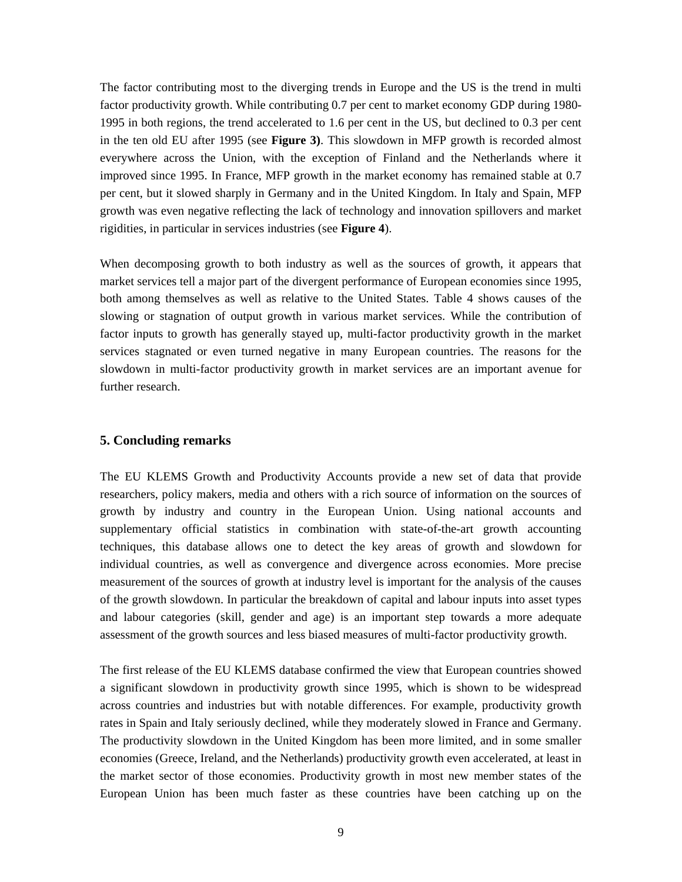The factor contributing most to the diverging trends in Europe and the US is the trend in multi factor productivity growth. While contributing 0.7 per cent to market economy GDP during 1980- 1995 in both regions, the trend accelerated to 1.6 per cent in the US, but declined to 0.3 per cent in the ten old EU after 1995 (see **Figure 3)**. This slowdown in MFP growth is recorded almost everywhere across the Union, with the exception of Finland and the Netherlands where it improved since 1995. In France, MFP growth in the market economy has remained stable at 0.7 per cent, but it slowed sharply in Germany and in the United Kingdom. In Italy and Spain, MFP growth was even negative reflecting the lack of technology and innovation spillovers and market rigidities, in particular in services industries (see **Figure 4**).

When decomposing growth to both industry as well as the sources of growth, it appears that market services tell a major part of the divergent performance of European economies since 1995, both among themselves as well as relative to the United States. Table 4 shows causes of the slowing or stagnation of output growth in various market services. While the contribution of factor inputs to growth has generally stayed up, multi-factor productivity growth in the market services stagnated or even turned negative in many European countries. The reasons for the slowdown in multi-factor productivity growth in market services are an important avenue for further research.

# **5. Concluding remarks**

The EU KLEMS Growth and Productivity Accounts provide a new set of data that provide researchers, policy makers, media and others with a rich source of information on the sources of growth by industry and country in the European Union. Using national accounts and supplementary official statistics in combination with state-of-the-art growth accounting techniques, this database allows one to detect the key areas of growth and slowdown for individual countries, as well as convergence and divergence across economies. More precise measurement of the sources of growth at industry level is important for the analysis of the causes of the growth slowdown. In particular the breakdown of capital and labour inputs into asset types and labour categories (skill, gender and age) is an important step towards a more adequate assessment of the growth sources and less biased measures of multi-factor productivity growth.

The first release of the EU KLEMS database confirmed the view that European countries showed a significant slowdown in productivity growth since 1995, which is shown to be widespread across countries and industries but with notable differences. For example, productivity growth rates in Spain and Italy seriously declined, while they moderately slowed in France and Germany. The productivity slowdown in the United Kingdom has been more limited, and in some smaller economies (Greece, Ireland, and the Netherlands) productivity growth even accelerated, at least in the market sector of those economies. Productivity growth in most new member states of the European Union has been much faster as these countries have been catching up on the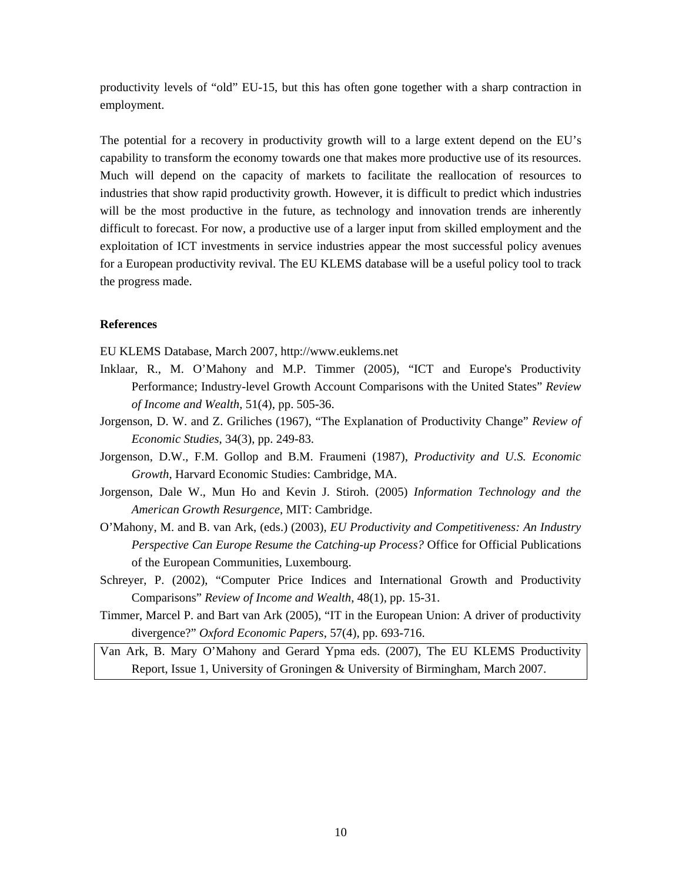productivity levels of "old" EU-15, but this has often gone together with a sharp contraction in employment.

The potential for a recovery in productivity growth will to a large extent depend on the EU's capability to transform the economy towards one that makes more productive use of its resources. Much will depend on the capacity of markets to facilitate the reallocation of resources to industries that show rapid productivity growth. However, it is difficult to predict which industries will be the most productive in the future, as technology and innovation trends are inherently difficult to forecast. For now, a productive use of a larger input from skilled employment and the exploitation of ICT investments in service industries appear the most successful policy avenues for a European productivity revival. The EU KLEMS database will be a useful policy tool to track the progress made.

# **References**

EU KLEMS Database, March 2007, http://www.euklems.net

- Inklaar, R., M. O'Mahony and M.P. Timmer (2005), "ICT and Europe's Productivity Performance; Industry-level Growth Account Comparisons with the United States" *Review of Income and Wealth*, 51(4), pp. 505-36.
- Jorgenson, D. W. and Z. Griliches (1967), "The Explanation of Productivity Change" *Review of Economic Studies*, 34(3), pp. 249-83.
- Jorgenson, D.W., F.M. Gollop and B.M. Fraumeni (1987), *Productivity and U.S. Economic Growth*, Harvard Economic Studies: Cambridge, MA.
- Jorgenson, Dale W., Mun Ho and Kevin J. Stiroh. (2005) *Information Technology and the American Growth Resurgence*, MIT: Cambridge.
- O'Mahony, M. and B. van Ark, (eds.) (2003), *EU Productivity and Competitiveness: An Industry Perspective Can Europe Resume the Catching-up Process?* Office for Official Publications of the European Communities, Luxembourg.
- Schreyer, P. (2002), "Computer Price Indices and International Growth and Productivity Comparisons" *Review of Income and Wealth*, 48(1), pp. 15-31.
- Timmer, Marcel P. and Bart van Ark (2005), "IT in the European Union: A driver of productivity divergence?" *Oxford Economic Papers*, 57(4), pp. 693-716.

Van Ark, B. Mary O'Mahony and Gerard Ypma eds. (2007), The EU KLEMS Productivity Report, Issue 1, University of Groningen & University of Birmingham, March 2007.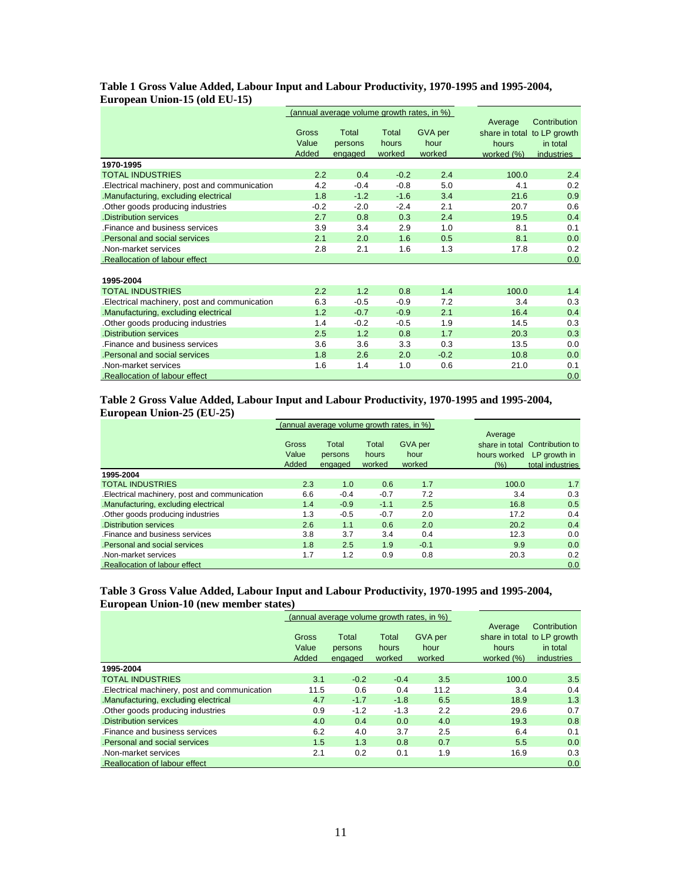|                                               | (annual average volume growth rates, in %) |                             |                          |                           |                                |                                                                       |
|-----------------------------------------------|--------------------------------------------|-----------------------------|--------------------------|---------------------------|--------------------------------|-----------------------------------------------------------------------|
|                                               | Gross<br>Value<br>Added                    | Total<br>persons<br>engaged | Total<br>hours<br>worked | GVA per<br>hour<br>worked | Average<br>hours<br>worked (%) | Contribution<br>share in total to LP growth<br>in total<br>industries |
| 1970-1995                                     |                                            |                             |                          |                           |                                |                                                                       |
| <b>TOTAL INDUSTRIES</b>                       | 2.2                                        | 0.4                         | $-0.2$                   | 2.4                       | 100.0                          | 2.4                                                                   |
| .Electrical machinery, post and communication | 4.2                                        | $-0.4$                      | $-0.8$                   | 5.0                       | 4.1                            | 0.2                                                                   |
| Manufacturing, excluding electrical           | 1.8                                        | $-1.2$                      | $-1.6$                   | 3.4                       | 21.6                           | 0.9                                                                   |
| Other goods producing industries.             | $-0.2$                                     | $-2.0$                      | $-2.4$                   | 2.1                       | 20.7                           | 0.6                                                                   |
| .Distribution services                        | 2.7                                        | 0.8                         | 0.3                      | 2.4                       | 19.5                           | 0.4                                                                   |
| Finance and business services                 | 3.9                                        | 3.4                         | 2.9                      | 1.0                       | 8.1                            | 0.1                                                                   |
| Personal and social services                  | 2.1                                        | 2.0                         | 1.6                      | 0.5                       | 8.1                            | 0.0                                                                   |
| Non-market services                           | 2.8                                        | 2.1                         | 1.6                      | 1.3                       | 17.8                           | 0.2                                                                   |
| .Reallocation of labour effect                |                                            |                             |                          |                           |                                | 0.0                                                                   |
| 1995-2004                                     |                                            |                             |                          |                           |                                |                                                                       |
| <b>TOTAL INDUSTRIES</b>                       | 2.2                                        | 1.2                         | 0.8                      | 1.4                       | 100.0                          | 1.4                                                                   |
| .Electrical machinery, post and communication | 6.3                                        | $-0.5$                      | $-0.9$                   | 7.2                       | 3.4                            | 0.3                                                                   |
| Manufacturing, excluding electrical           | 1.2                                        | $-0.7$                      | $-0.9$                   | 2.1                       | 16.4                           | 0.4                                                                   |
| Other goods producing industries.             | 1.4                                        | $-0.2$                      | $-0.5$                   | 1.9                       | 14.5                           | 0.3                                                                   |
| .Distribution services                        | 2.5                                        | 1.2                         | 0.8                      | 1.7                       | 20.3                           | 0.3                                                                   |
| Finance and business services                 | 3.6                                        | 3.6                         | 3.3                      | 0.3                       | 13.5                           | 0.0                                                                   |
| .Personal and social services                 | 1.8                                        | 2.6                         | 2.0                      | $-0.2$                    | 10.8                           | 0.0                                                                   |
| Non-market services                           | 1.6                                        | 1.4                         | 1.0                      | 0.6                       | 21.0                           | 0.1                                                                   |
| .Reallocation of labour effect                |                                            |                             |                          |                           |                                | 0.0                                                                   |

# **Table 1 Gross Value Added, Labour Input and Labour Productivity, 1970-1995 and 1995-2004, European Union-15 (old EU-15)**

# **Table 2 Gross Value Added, Labour Input and Labour Productivity, 1970-1995 and 1995-2004, European Union-25 (EU-25)**

|                                               |       | (annual average volume growth rates, in %) |        |         |              |                                |
|-----------------------------------------------|-------|--------------------------------------------|--------|---------|--------------|--------------------------------|
|                                               |       |                                            |        |         | Average      |                                |
|                                               | Gross | Total                                      | Total  | GVA per |              | share in total Contribution to |
|                                               | Value | persons                                    | hours  | hour    | hours worked | LP growth in                   |
|                                               | Added | engaged                                    | worked | worked  | (%)          | total industries               |
| 1995-2004                                     |       |                                            |        |         |              |                                |
| <b>TOTAL INDUSTRIES</b>                       | 2.3   | 1.0                                        | 0.6    | 1.7     | 100.0        | 1.7                            |
| .Electrical machinery, post and communication | 6.6   | $-0.4$                                     | $-0.7$ | 7.2     | 3.4          | 0.3                            |
| Manufacturing, excluding electrical           | 1.4   | $-0.9$                                     | $-1.1$ | 2.5     | 16.8         | 0.5                            |
| .Other goods producing industries             | 1.3   | $-0.5$                                     | $-0.7$ | 2.0     | 17.2         | 0.4                            |
| Distribution services                         | 2.6   | 1.1                                        | 0.6    | 2.0     | 20.2         | 0.4                            |
| Finance and business services                 | 3.8   | 3.7                                        | 3.4    | 0.4     | 12.3         | 0.0                            |
| .Personal and social services                 | 1.8   | 2.5                                        | 1.9    | $-0.1$  | 9.9          | 0.0                            |
| Non-market services                           | 1.7   | 1.2                                        | 0.9    | 0.8     | 20.3         | 0.2                            |
| .Reallocation of labour effect                |       |                                            |        |         |              | 0.0                            |

# **Table 3 Gross Value Added, Labour Input and Labour Productivity, 1970-1995 and 1995-2004, European Union-10 (new member states)**

|                                                |       | (annual average volume growth rates, in %) |        |         |                             |              |
|------------------------------------------------|-------|--------------------------------------------|--------|---------|-----------------------------|--------------|
|                                                |       |                                            |        |         | Average                     | Contribution |
|                                                | Gross | Total                                      | Total  | GVA per | share in total to LP growth |              |
|                                                | Value | persons                                    | hours  | hour    | hours                       | in total     |
|                                                | Added | engaged                                    | worked | worked  | worked (%)                  | industries   |
| 1995-2004                                      |       |                                            |        |         |                             |              |
| <b>TOTAL INDUSTRIES</b>                        | 3.1   | $-0.2$                                     | $-0.4$ | 3.5     | 100.0                       | 3.5          |
| . Electrical machinery, post and communication | 11.5  | 0.6                                        | 0.4    | 11.2    | 3.4                         | 0.4          |
| Manufacturing, excluding electrical            | 4.7   | $-1.7$                                     | $-1.8$ | 6.5     | 18.9                        | 1.3          |
| Other goods producing industries.              | 0.9   | $-1.2$                                     | $-1.3$ | 2.2     | 29.6                        | 0.7          |
| Distribution services                          | 4.0   | 0.4                                        | 0.0    | 4.0     | 19.3                        | 0.8          |
| Finance and business services                  | 6.2   | 4.0                                        | 3.7    | 2.5     | 6.4                         | 0.1          |
| . Personal and social services                 | 1.5   | 1.3                                        | 0.8    | 0.7     | 5.5                         | 0.0          |
| Non-market services.                           | 2.1   | 0.2                                        | 0.1    | 1.9     | 16.9                        | 0.3          |
| .Reallocation of labour effect                 |       |                                            |        |         |                             | 0.0          |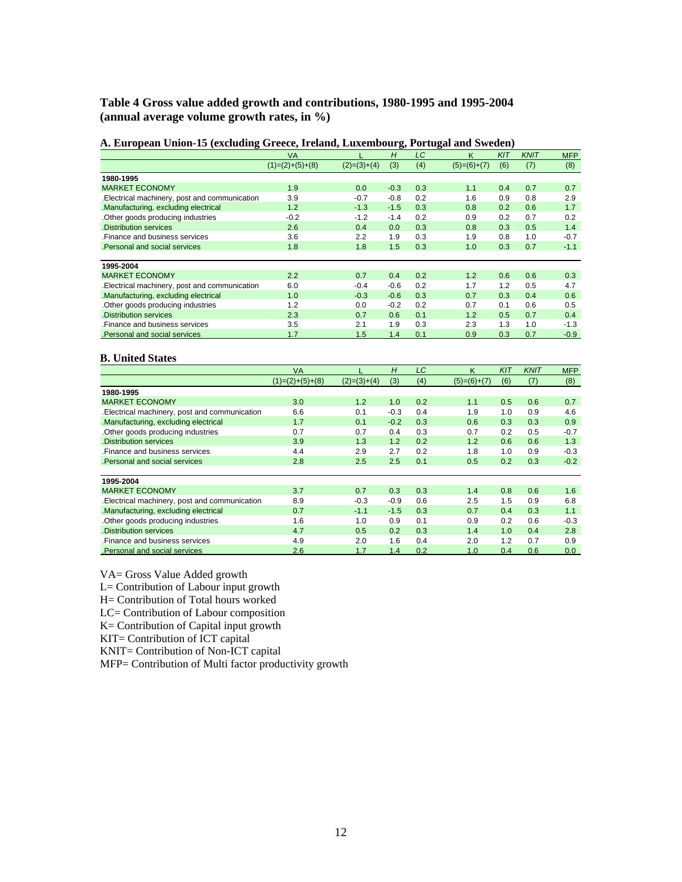# **Table 4 Gross value added growth and contributions, 1980-1995 and 1995-2004 (annual average volume growth rates, in %)**

#### **A. European Union-15 (excluding Greece, Ireland, Luxembourg, Portugal and Sweden)**

|                                               | VA                |               | H      | LC  | Κ             | KIT | KNIT | <b>MFP</b> |
|-----------------------------------------------|-------------------|---------------|--------|-----|---------------|-----|------|------------|
|                                               | $(1)=(2)+(5)+(8)$ | $(2)=(3)+(4)$ | (3)    | (4) | $(5)=(6)+(7)$ | (6) | (7)  | (8)        |
| 1980-1995                                     |                   |               |        |     |               |     |      |            |
| <b>MARKET ECONOMY</b>                         | 1.9               | 0.0           | $-0.3$ | 0.3 | 1.1           | 0.4 | 0.7  | 0.7        |
| .Electrical machinery, post and communication | 3.9               | $-0.7$        | $-0.8$ | 0.2 | 1.6           | 0.9 | 0.8  | 2.9        |
| .Manufacturing, excluding electrical          | 1.2               | $-1.3$        | $-1.5$ | 0.3 | 0.8           | 0.2 | 0.6  | 1.7        |
| .Other goods producing industries             | $-0.2$            | $-1.2$        | $-1.4$ | 0.2 | 0.9           | 0.2 | 0.7  | 0.2        |
| Distribution services                         | 2.6               | 0.4           | 0.0    | 0.3 | 0.8           | 0.3 | 0.5  | 1.4        |
| Finance and business services                 | 3.6               | 2.2           | 1.9    | 0.3 | 1.9           | 0.8 | 1.0  | $-0.7$     |
| Personal and social services                  | 1.8               | 1.8           | 1.5    | 0.3 | 1.0           | 0.3 | 0.7  | $-1.1$     |
|                                               |                   |               |        |     |               |     |      |            |
| 1995-2004                                     |                   |               |        |     |               |     |      |            |
| <b>MARKET ECONOMY</b>                         | 2.2               | 0.7           | 0.4    | 0.2 | 1.2           | 0.6 | 0.6  | 0.3        |
| .Electrical machinery, post and communication | 6.0               | $-0.4$        | $-0.6$ | 0.2 | 1.7           | 1.2 | 0.5  | 4.7        |
| .Manufacturing, excluding electrical          | 1.0               | $-0.3$        | $-0.6$ | 0.3 | 0.7           | 0.3 | 0.4  | 0.6        |
| Other goods producing industries.             | 1.2               | 0.0           | $-0.2$ | 0.2 | 0.7           | 0.1 | 0.6  | 0.5        |
| .Distribution services                        | 2.3               | 0.7           | 0.6    | 0.1 | 1.2           | 0.5 | 0.7  | 0.4        |
| Finance and business services                 | 3.5               | 2.1           | 1.9    | 0.3 | 2.3           | 1.3 | 1.0  | $-1.3$     |
| . Personal and social services                | 1.7               | 1.5           | 1.4    | 0.1 | 0.9           | 0.3 | 0.7  | $-0.9$     |

#### **B. United States**

|                                                | <b>VA</b>         |               | H      | LC  | K             | KIT | KNIT | <b>MFP</b> |
|------------------------------------------------|-------------------|---------------|--------|-----|---------------|-----|------|------------|
|                                                | $(1)=(2)+(5)+(8)$ | $(2)=(3)+(4)$ | (3)    | (4) | $(5)=(6)+(7)$ | (6) | (7)  | (8)        |
| 1980-1995                                      |                   |               |        |     |               |     |      |            |
| <b>MARKET ECONOMY</b>                          | 3.0               | 1.2           | 1.0    | 0.2 | 1.1           | 0.5 | 0.6  | 0.7        |
| .Electrical machinery, post and communication  | 6.6               | 0.1           | $-0.3$ | 0.4 | 1.9           | 1.0 | 0.9  | 4.6        |
| .Manufacturing, excluding electrical           | 1.7               | 0.1           | $-0.2$ | 0.3 | 0.6           | 0.3 | 0.3  | 0.9        |
| .Other goods producing industries              | 0.7               | 0.7           | 0.4    | 0.3 | 0.7           | 0.2 | 0.5  | $-0.7$     |
| Distribution services                          | 3.9               | 1.3           | 1.2    | 0.2 | 1.2           | 0.6 | 0.6  | 1.3        |
| Finance and business services                  | 4.4               | 2.9           | 2.7    | 0.2 | 1.8           | 1.0 | 0.9  | $-0.3$     |
| .Personal and social services                  | 2.8               | 2.5           | 2.5    | 0.1 | 0.5           | 0.2 | 0.3  | $-0.2$     |
| 1995-2004                                      |                   |               |        |     |               |     |      |            |
| <b>MARKET ECONOMY</b>                          | 3.7               | 0.7           | 0.3    | 0.3 | 1.4           | 0.8 | 0.6  | 1.6        |
| . Electrical machinery, post and communication | 8.9               | $-0.3$        | $-0.9$ | 0.6 | 2.5           | 1.5 | 0.9  | 6.8        |
| .Manufacturing, excluding electrical           | 0.7               | $-1.1$        | $-1.5$ | 0.3 | 0.7           | 0.4 | 0.3  | 1.1        |
| Other goods producing industries               | 1.6               | 1.0           | 0.9    | 0.1 | 0.9           | 0.2 | 0.6  | $-0.3$     |
| Distribution services                          | 4.7               | 0.5           | 0.2    | 0.3 | 1.4           | 1.0 | 0.4  | 2.8        |
| Finance and business services                  | 4.9               | 2.0           | 1.6    | 0.4 | 2.0           | 1.2 | 0.7  | 0.9        |
| . Personal and social services                 | 2.6               | 1.7           | 1.4    | 0.2 | 1.0           | 0.4 | 0.6  | 0.0        |

VA= Gross Value Added growth

L= Contribution of Labour input growth

H= Contribution of Total hours worked

LC= Contribution of Labour composition

 $K=$  Contribution of Capital input growth

KIT= Contribution of ICT capital

KNIT= Contribution of Non-ICT capital

MFP= Contribution of Multi factor productivity growth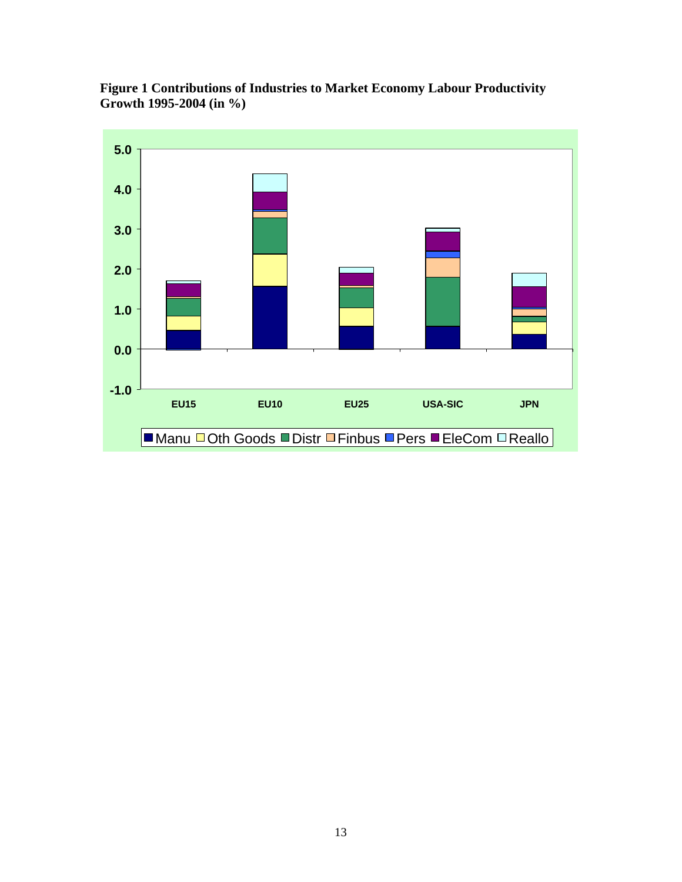

**Figure 1 Contributions of Industries to Market Economy Labour Productivity Growth 1995-2004 (in %)**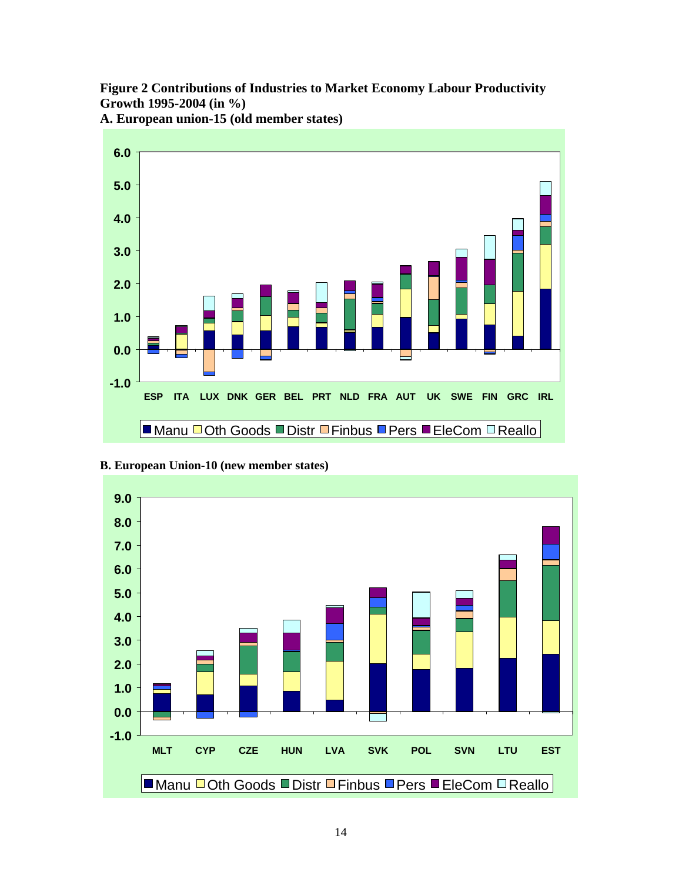**Figure 2 Contributions of Industries to Market Economy Labour Productivity Growth 1995-2004 (in %)** 



**A. European union-15 (old member states)** 

# **B. European Union-10 (new member states)**

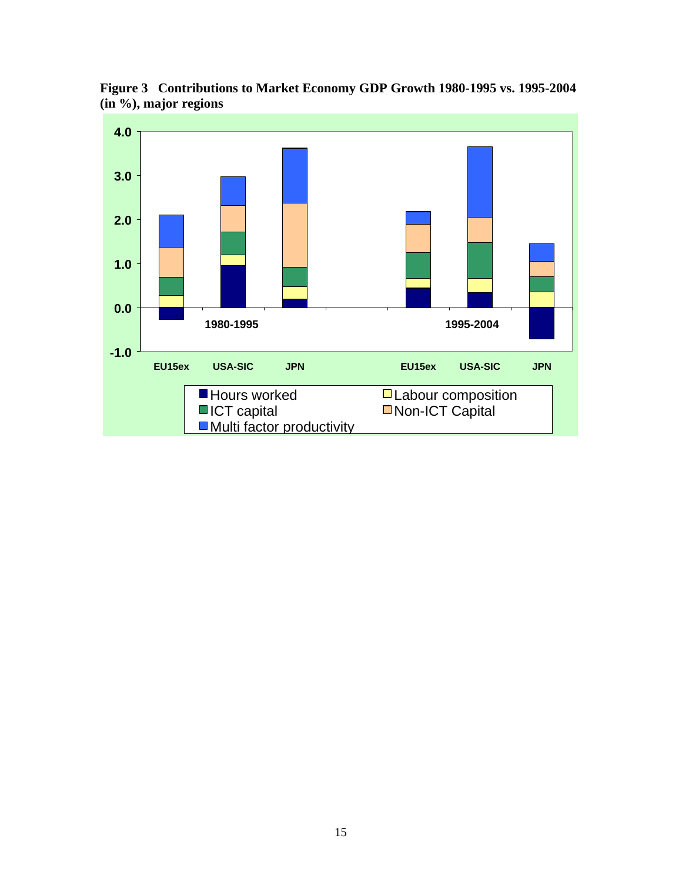

**Figure 3 Contributions to Market Economy GDP Growth 1980-1995 vs. 1995-2004 (in %), major regions**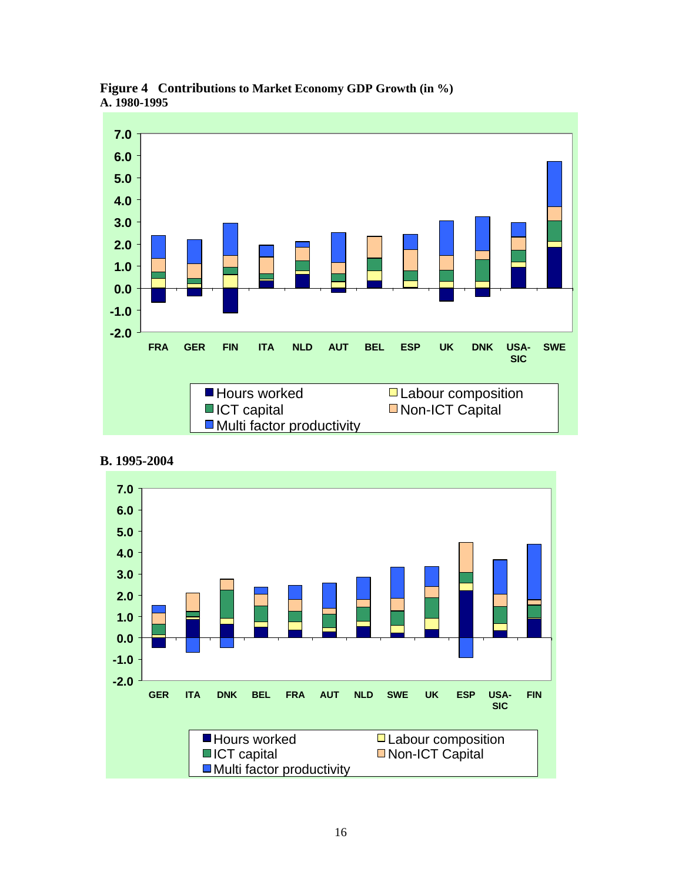

**Figure 4 Contributions to Market Economy GDP Growth (in %) A. 1980-1995**



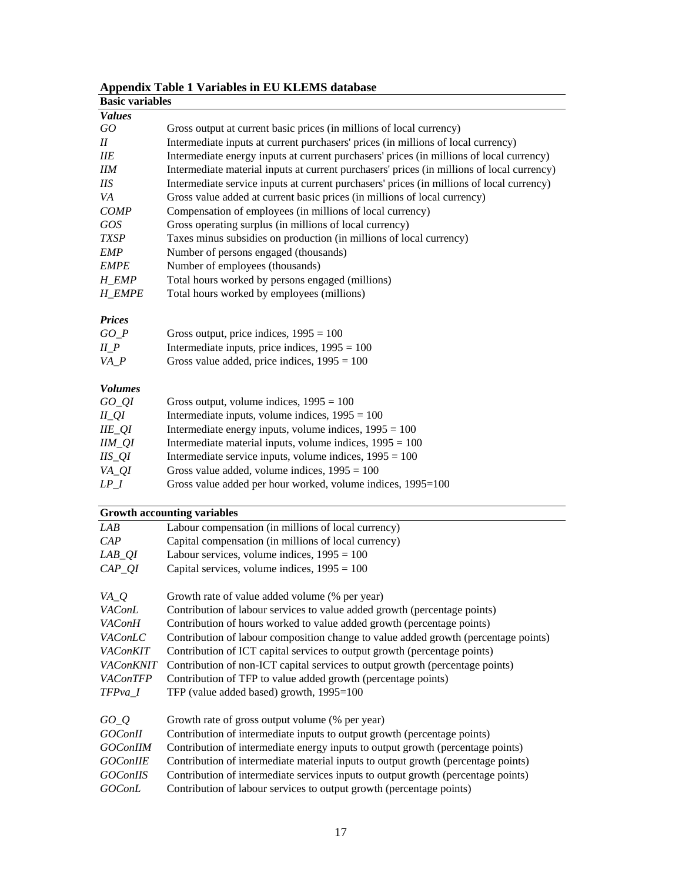#### **Appendix Table 1 Variables in EU KLEMS database**

| <b>Basic variables</b>           |                                                                                            |
|----------------------------------|--------------------------------------------------------------------------------------------|
| <b>Values</b>                    |                                                                                            |
| GO                               | Gross output at current basic prices (in millions of local currency)                       |
| $I\!I$                           | Intermediate inputs at current purchasers' prices (in millions of local currency)          |
| <b>IIE</b>                       | Intermediate energy inputs at current purchasers' prices (in millions of local currency)   |
| <b>IIM</b>                       | Intermediate material inputs at current purchasers' prices (in millions of local currency) |
| <b>IIS</b>                       | Intermediate service inputs at current purchasers' prices (in millions of local currency)  |
| VA                               | Gross value added at current basic prices (in millions of local currency)                  |
| <b>COMP</b>                      | Compensation of employees (in millions of local currency)                                  |
| <b>GOS</b>                       | Gross operating surplus (in millions of local currency)                                    |
| <b>TXSP</b>                      | Taxes minus subsidies on production (in millions of local currency)                        |
| <b>EMP</b>                       | Number of persons engaged (thousands)                                                      |
| <b>EMPE</b>                      | Number of employees (thousands)                                                            |
| $H$ <sub>_</sub> $EMP$           | Total hours worked by persons engaged (millions)                                           |
| <b>H_EMPE</b>                    | Total hours worked by employees (millions)                                                 |
| <b>Prices</b>                    |                                                                                            |
| $GO_P$                           | Gross output, price indices, $1995 = 100$                                                  |
|                                  | Intermediate inputs, price indices, $1995 = 100$                                           |
| $II$ <sub>-</sub> $P$            |                                                                                            |
| $VA\_P$                          | Gross value added, price indices, $1995 = 100$                                             |
| <b>Volumes</b>                   |                                                                                            |
| $GO_QI$                          | Gross output, volume indices, $1995 = 100$                                                 |
| $II_QI$                          | Intermediate inputs, volume indices, $1995 = 100$                                          |
| $IIE$ <sup><math>QI</math></sup> | Intermediate energy inputs, volume indices, $1995 = 100$                                   |
| $IIM_QI$                         | Intermediate material inputs, volume indices, $1995 = 100$                                 |
| $IIS_QI$                         | Intermediate service inputs, volume indices, $1995 = 100$                                  |
| $VA\_QI$                         | Gross value added, volume indices, $1995 = 100$                                            |
| $LP_1$                           | Gross value added per hour worked, volume indices, 1995=100                                |
|                                  | <b>Growth accounting variables</b>                                                         |
| LAB                              | Labour compensation (in millions of local currency)                                        |
| CAP                              | Capital compensation (in millions of local currency)                                       |
| $LAB_QI$                         | Labour services, volume indices, $1995 = 100$                                              |
| $CAP_QI$                         | Capital services, volume indices, $1995 = 100$                                             |
|                                  |                                                                                            |
| $VA\_Q$                          | Growth rate of value added volume (% per year)                                             |
| <b>VAConL</b>                    | Contribution of labour services to value added growth (percentage points)                  |
| <b>VAConH</b>                    | Contribution of hours worked to value added growth (percentage points)                     |
| VAConLC                          | Contribution of labour composition change to value added growth (percentage points)        |
| VAConKIT                         | Contribution of ICT capital services to output growth (percentage points)                  |
| <b>VAConKNIT</b>                 | Contribution of non-ICT capital services to output growth (percentage points)              |
| <b>VAConTFP</b>                  | Contribution of TFP to value added growth (percentage points)                              |
| $TFPva_I$                        | TFP (value added based) growth, 1995=100                                                   |
| $GO_Q$                           | Growth rate of gross output volume (% per year)                                            |
| <b>GOConII</b>                   | Contribution of intermediate inputs to output growth (percentage points)                   |
| <b>GOConIIM</b>                  | Contribution of intermediate energy inputs to output growth (percentage points)            |
| <b>GOConIIE</b>                  | Contribution of intermediate material inputs to output growth (percentage points)          |
| <b>GOConIIS</b>                  | Contribution of intermediate services inputs to output growth (percentage points)          |
| GOConL                           | Contribution of labour services to output growth (percentage points)                       |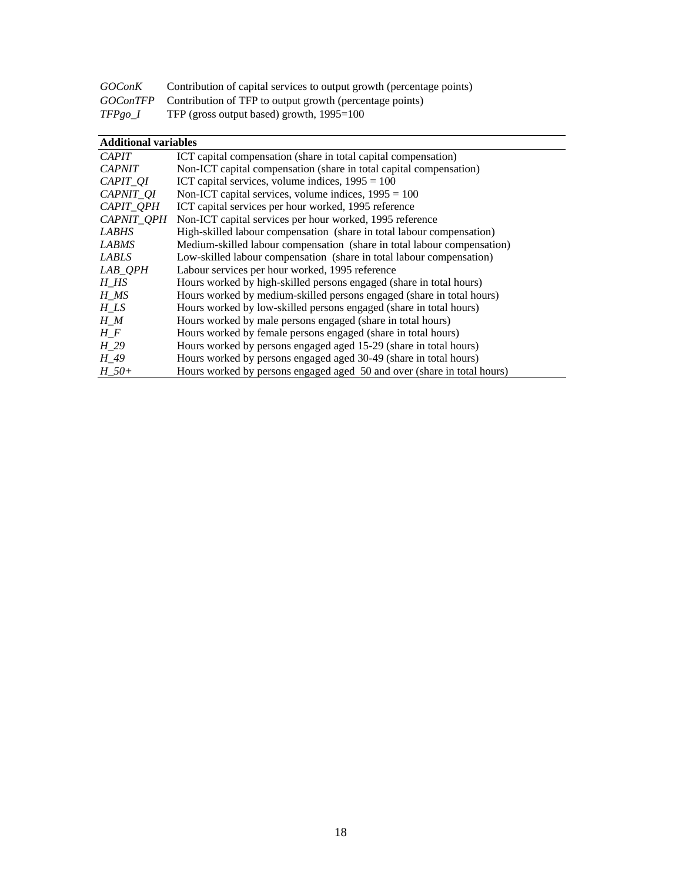| <i>GOConK</i> | Contribution of capital services to output growth (percentage points)    |
|---------------|--------------------------------------------------------------------------|
|               | <i>GOConTFP</i> Contribution of TFP to output growth (percentage points) |
| $TFPgo_I$     | TFP (gross output based) growth, 1995=100                                |

| <b>Additional variables</b> |                                                                         |  |  |  |  |
|-----------------------------|-------------------------------------------------------------------------|--|--|--|--|
| <b>CAPIT</b>                | ICT capital compensation (share in total capital compensation)          |  |  |  |  |
| <b>CAPNIT</b>               | Non-ICT capital compensation (share in total capital compensation)      |  |  |  |  |
| CAPIT OI                    | ICT capital services, volume indices, $1995 = 100$                      |  |  |  |  |
| CAPNIT OI                   | Non-ICT capital services, volume indices, $1995 = 100$                  |  |  |  |  |
| CAPIT QPH                   | ICT capital services per hour worked, 1995 reference                    |  |  |  |  |
| CAPNIT_QPH                  | Non-ICT capital services per hour worked, 1995 reference                |  |  |  |  |
| <i>LABHS</i>                | High-skilled labour compensation (share in total labour compensation)   |  |  |  |  |
| <i>LABMS</i>                | Medium-skilled labour compensation (share in total labour compensation) |  |  |  |  |
| <i>LABLS</i>                | Low-skilled labour compensation (share in total labour compensation)    |  |  |  |  |
| LAB_QPH                     | Labour services per hour worked, 1995 reference                         |  |  |  |  |
| $H_H$                       | Hours worked by high-skilled persons engaged (share in total hours)     |  |  |  |  |
| $H_M$ S                     | Hours worked by medium-skilled persons engaged (share in total hours)   |  |  |  |  |
| H LS                        | Hours worked by low-skilled persons engaged (share in total hours)      |  |  |  |  |
| H M                         | Hours worked by male persons engaged (share in total hours)             |  |  |  |  |
| $H \, F$                    | Hours worked by female persons engaged (share in total hours)           |  |  |  |  |
| $H_2$                       | Hours worked by persons engaged aged 15-29 (share in total hours)       |  |  |  |  |
| H 49                        | Hours worked by persons engaged aged 30-49 (share in total hours)       |  |  |  |  |
| $H_50+$                     | Hours worked by persons engaged aged 50 and over (share in total hours) |  |  |  |  |